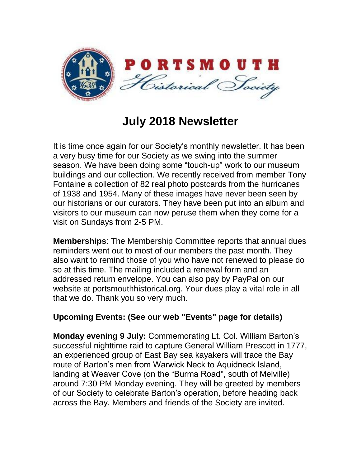

## **July 2018 Newsletter**

It is time once again for our Society's monthly newsletter. It has been a very busy time for our Society as we swing into the summer season. We have been doing some "touch-up" work to our museum buildings and our collection. We recently received from member Tony Fontaine a collection of 82 real photo postcards from the hurricanes of 1938 and 1954. Many of these images have never been seen by our historians or our curators. They have been put into an album and visitors to our museum can now peruse them when they come for a visit on Sundays from 2-5 PM.

**Memberships**: The Membership Committee reports that annual dues reminders went out to most of our members the past month. They also want to remind those of you who have not renewed to please do so at this time. The mailing included a renewal form and an addressed return envelope. You can also pay by PayPal on our website at portsmouthhistorical.org. Your dues play a vital role in all that we do. Thank you so very much.

## **Upcoming Events: (See our web "Events" page for details)**

**Monday evening 9 July:** Commemorating Lt. Col. William Barton's successful nighttime raid to capture General William Prescott in 1777, an experienced group of East Bay sea kayakers will trace the Bay route of Barton's men from Warwick Neck to Aquidneck Island, landing at Weaver Cove (on the "Burma Road", south of Melville) around 7:30 PM Monday evening. They will be greeted by members of our Society to celebrate Barton's operation, before heading back across the Bay. Members and friends of the Society are invited.